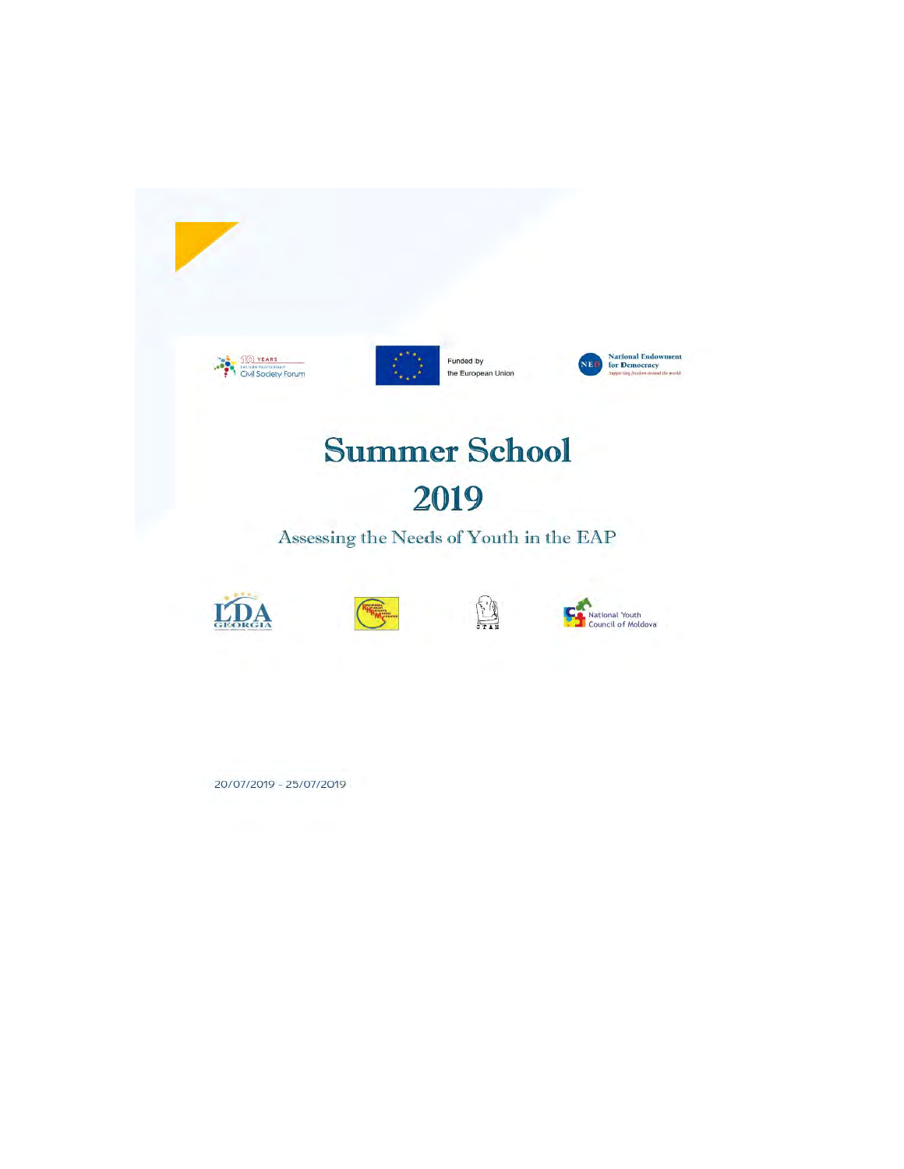

## **Summer School**

## 2019

Assessing the Needs of Youth in the EAP

图







20/07/2019 - 25/07/2019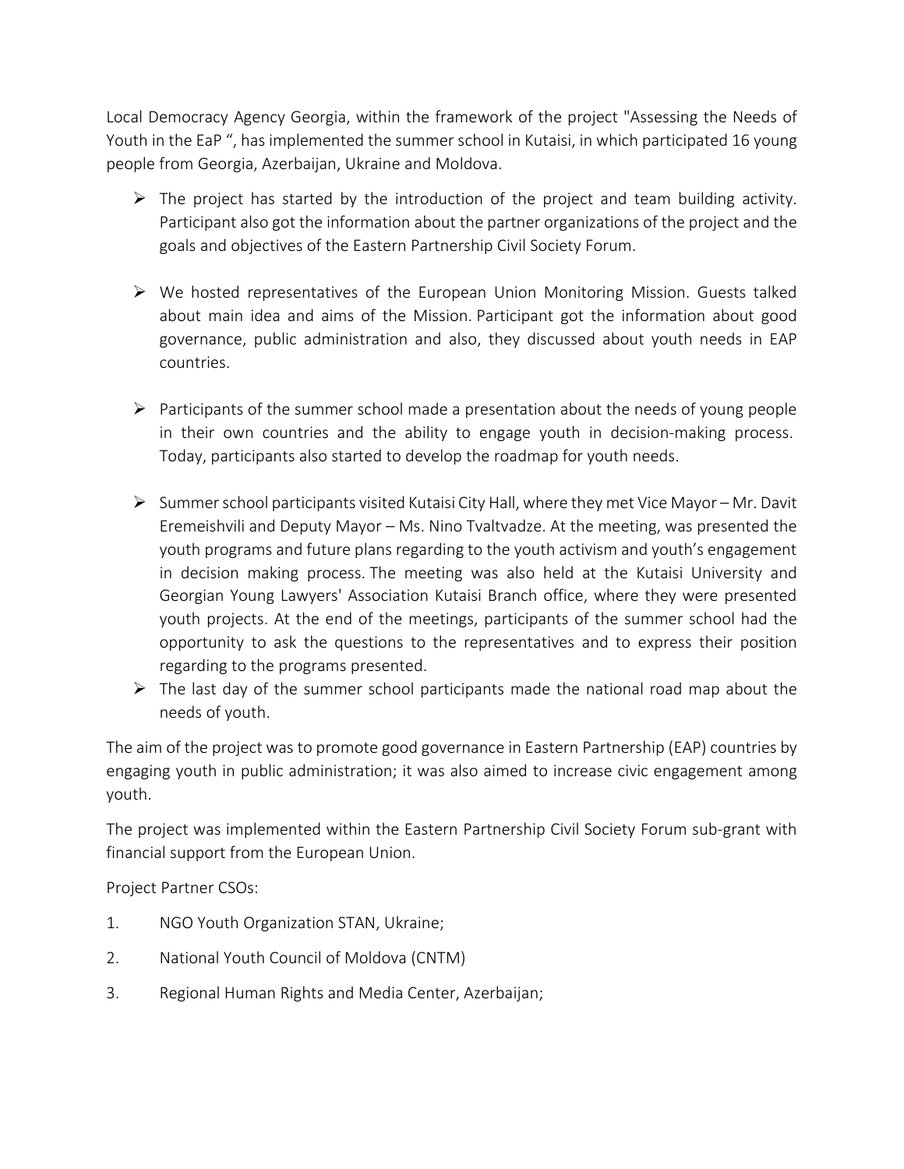Local Democracy Agency Georgia, within the framework of the project "Assessing the Needs of Youth in the EaP ", has implemented the summer school in Kutaisi, in which participated 16 young people from Georgia, Azerbaijan, Ukraine and Moldova.

- $\triangleright$  The project has started by the introduction of the project and team building activity. Participant also got the information about the partner organizations of the project and the goals and objectives of the Eastern Partnership Civil Society Forum.
- We hosted representatives of the European Union Monitoring Mission. Guests talked about main idea and aims of the Mission. Participant got the information about good governance, public administration and also, they discussed about youth needs in EAP countries.
- $\triangleright$  Participants of the summer school made a presentation about the needs of young people in their own countries and the ability to engage youth in decision-making process. Today, participants also started to develop the roadmap for youth needs.
- $\triangleright$  Summer school participants visited Kutaisi City Hall, where they met Vice Mayor Mr. Davit Eremeishvili and Deputy Mayor – Ms. Nino Tvaltvadze. At the meeting, was presented the youth programs and future plans regarding to the youth activism and youth's engagement in decision making process. The meeting was also held at the Kutaisi University and Georgian Young Lawyers' Association Kutaisi Branch office, where they were presented youth projects. At the end of the meetings, participants of the summer school had the opportunity to ask the questions to the representatives and to express their position regarding to the programs presented.
- $\triangleright$  The last day of the summer school participants made the national road map about the needs of youth.

The aim of the project was to promote good governance in Eastern Partnership (EAP) countries by engaging youth in public administration; it was also aimed to increase civic engagement among youth.

The project was implemented within the Eastern Partnership Civil Society Forum sub-grant with financial support from the European Union.

Project Partner CSOs:

- 1. NGO Youth Organization STAN, Ukraine;
- 2. National Youth Council of Moldova (CNTM)
- 3. Regional Human Rights and Media Center, Azerbaijan;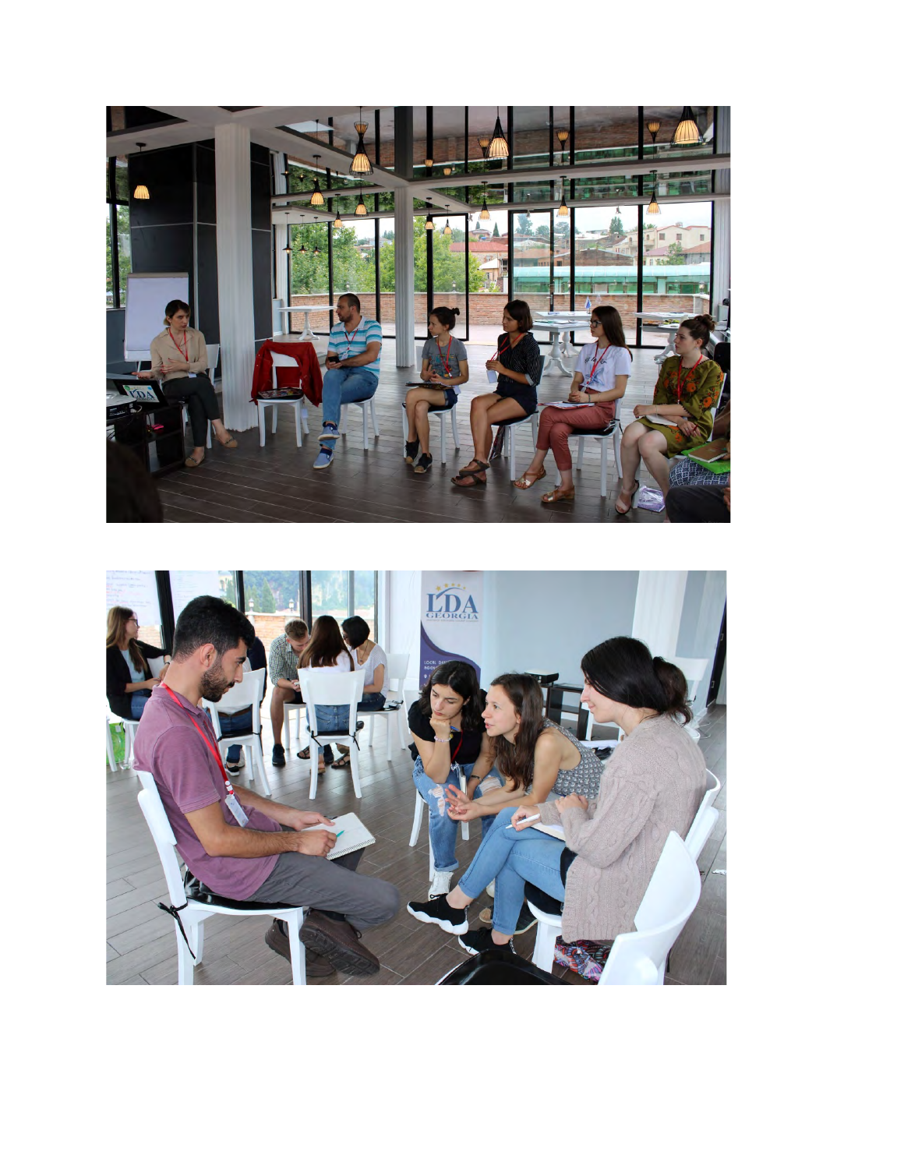

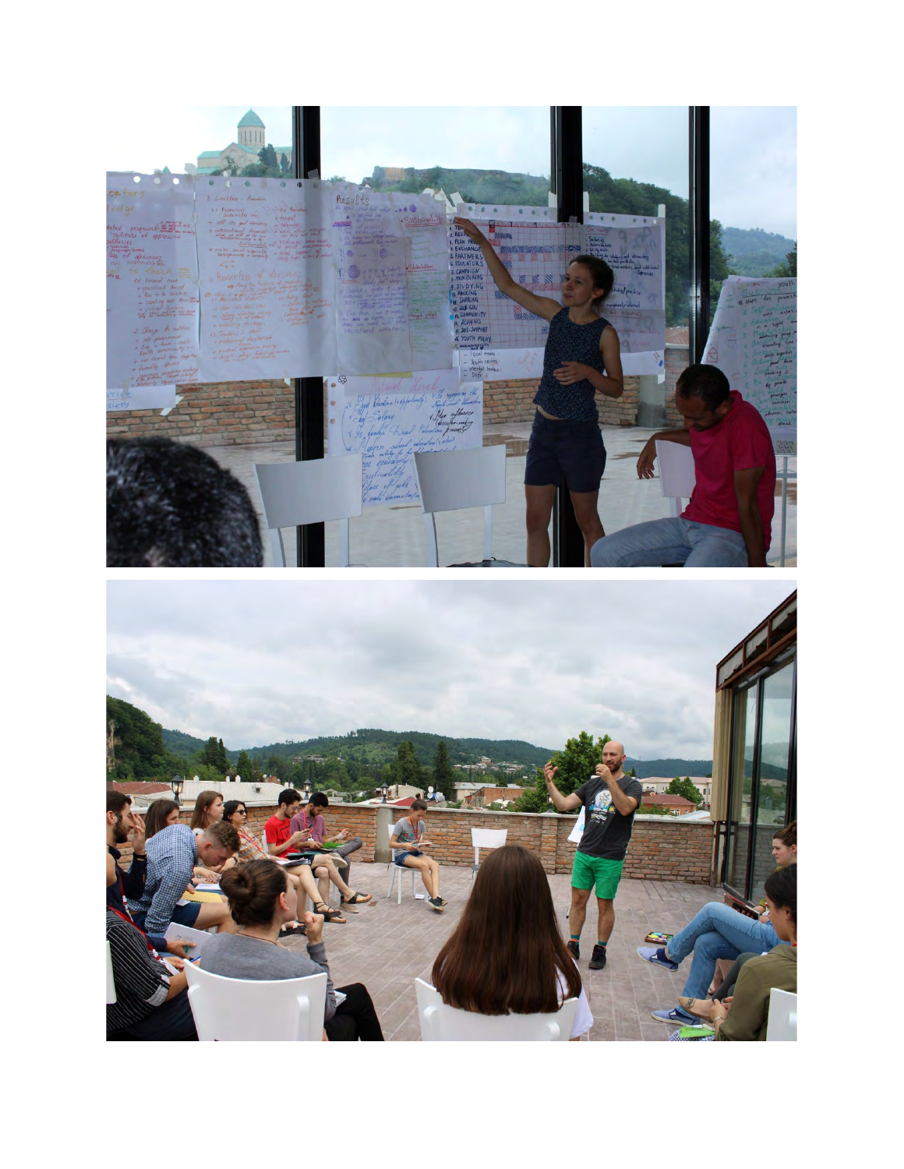